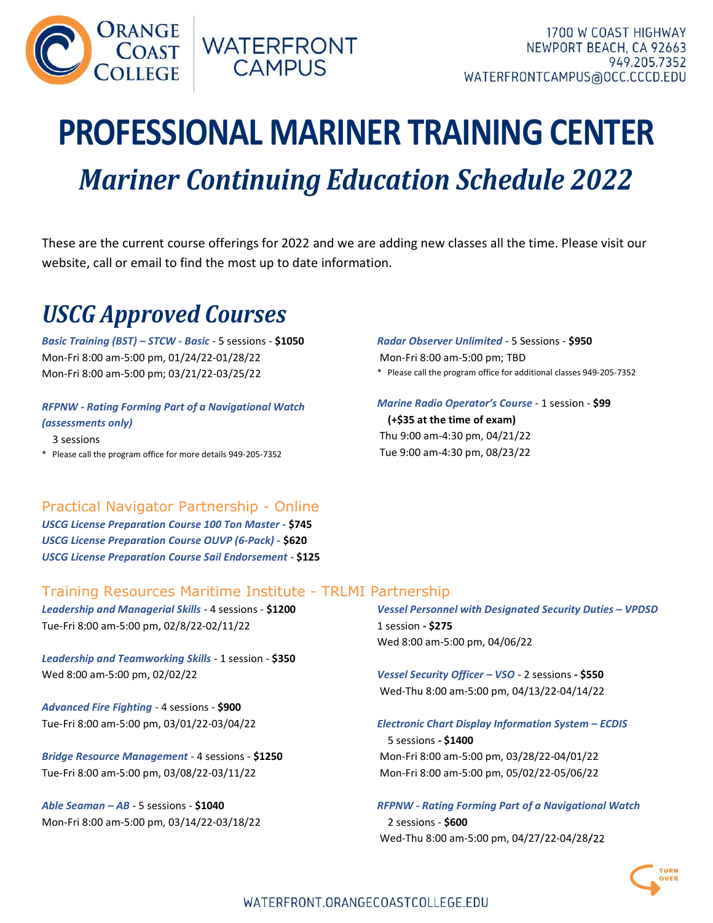

# **PROFESSIONAL MARINER TRAINING CENTER**<br>
Mariner Continuing Education Schedule 2022 ORANGE COAST WATERFRONT<br>
COAST CAMPUS<br>
CAMPUS<br>
Mariner Continuing Education Schedule 2022<br>
Set the current course offerings for 2022 and we are adding new classes all the time. Please visit our<br>
Represent to the proof the

These are the current course offerings for 2022 and we are adding new classes all the time. Please visit our website, call or email to find the most up to date information.

# USCG Approved Courses

Basic Training (BST) – STCW - Basic - 5 sessions - \$1050 Mon-Fri 8:00 am-5:00 pm, 01/24/22-01/28/22 Mon-Fri 8:00 am-5:00 pm; 03/21/22-03/25/22

### RFPNW - Rating Forming Part of a Navigational Watch (assessments only)

 3 sessions \* Please call the program office for more details 949-205-7352 Radar Observer Unlimited - 5 Sessions - \$950 Mon-Fri 8:00 am-5:00 pm; TBD \* Please call the program office for additional classes 949-205-7352

Marine Radio Operator's Course - 1 session - \$99 (+\$35 at the time of exam) Thu 9:00 am-4:30 pm, 04/21/22 Tue 9:00 am-4:30 pm, 08/23/22

### Practical Navigator Partnership - Online

USCG License Preparation Course 100 Ton Master - \$745 USCG License Preparation Course OUVP (6-Pack) - \$620 USCG License Preparation Course Sail Endorsement - \$125

### Training Resources Maritime Institute - TRLMI Partnership

Leadership and Managerial Skills - 4 sessions - \$1200 Tue-Fri 8:00 am-5:00 pm, 02/8/22-02/11/22

Leadership and Teamworking Skills - 1 session - \$350 Wed 8:00 am-5:00 pm, 02/02/22

Advanced Fire Fighting - 4 sessions - \$900 Tue-Fri 8:00 am-5:00 pm, 03/01/22-03/04/22

Bridge Resource Management - 4 sessions - \$1250 Tue-Fri 8:00 am-5:00 pm, 03/08/22-03/11/22

Able Seaman – AB - 5 sessions - \$1040 Mon-Fri 8:00 am-5:00 pm, 03/14/22-03/18/22 Vessel Personnel with Designated Security Duties – VPDSD 1 session - \$275 Wed 8:00 am-5:00 pm, 04/06/22

Vessel Security Officer – VSO - 2 sessions - \$550 Wed-Thu 8:00 am-5:00 pm, 04/13/22-04/14/22

### Electronic Chart Display Information System – ECDIS

 5 sessions - \$1400 Mon-Fri 8:00 am-5:00 pm, 03/28/22-04/01/22 Mon-Fri 8:00 am-5:00 pm, 05/02/22-05/06/22

Wed-Thu 8:00 am-5:00 pm, 04/27/22-04/28/22

RFPNW - Rating Forming Part of a Navigational Watch 2 sessions - \$600

OVER